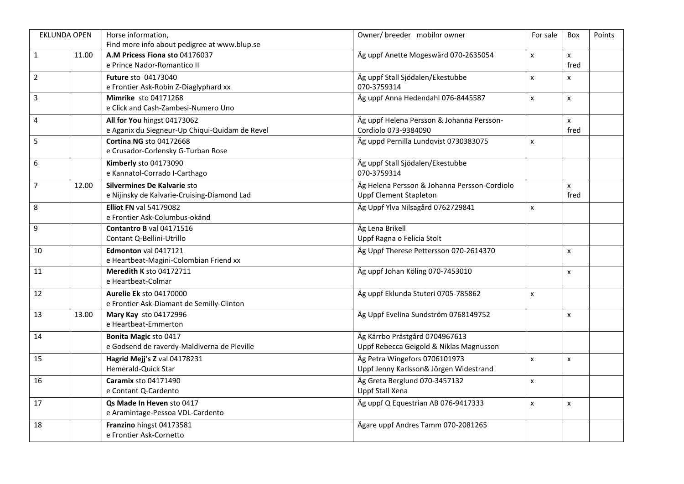| <b>EKLUNDA OPEN</b> |       | Horse information,                             | Owner/ breeder mobilnr owner                 | For sale           | Box                | Points |
|---------------------|-------|------------------------------------------------|----------------------------------------------|--------------------|--------------------|--------|
|                     |       | Find more info about pedigree at www.blup.se   |                                              |                    |                    |        |
| $\mathbf{1}$        | 11.00 | A.M Pricess Fiona sto 04176037                 | Äg uppf Anette Mogeswärd 070-2635054         | $\pmb{\times}$     | $\mathsf{x}$       |        |
|                     |       | e Prince Nador-Romantico II                    |                                              |                    | fred               |        |
| $\overline{2}$      |       | Future sto 04173040                            | Äg uppf Stall Sjödalen/Ekestubbe             | $\pmb{\times}$     | $\pmb{\times}$     |        |
|                     |       | e Frontier Ask-Robin Z-Diaglyphard xx          | 070-3759314                                  |                    |                    |        |
| $\overline{3}$      |       | <b>Mimrike</b> sto 04171268                    | Äg uppf Anna Hedendahl 076-8445587           | $\pmb{\times}$     | $\pmb{\mathsf{X}}$ |        |
|                     |       | e Click and Cash-Zambesi-Numero Uno            |                                              |                    |                    |        |
| $\sqrt{4}$          |       | All for You hingst 04173062                    | Äg uppf Helena Persson & Johanna Persson-    |                    | $\mathsf{x}$       |        |
|                     |       | e Aganix du Siegneur-Up Chiqui-Quidam de Revel | Cordiolo 073-9384090                         |                    | fred               |        |
| 5                   |       | <b>Cortina NG sto 04172668</b>                 | Äg uppd Pernilla Lundqvist 0730383075        | $\pmb{\mathsf{x}}$ |                    |        |
|                     |       | e Crusador-Corlensky G-Turban Rose             |                                              |                    |                    |        |
| $\boldsymbol{6}$    |       | Kimberly sto 04173090                          | Äg uppf Stall Sjödalen/Ekestubbe             |                    |                    |        |
|                     |       | e Kannatol-Corrado I-Carthago                  | 070-3759314                                  |                    |                    |        |
| $\overline{7}$      | 12.00 | Silvermines De Kalvarie sto                    | Äg Helena Persson & Johanna Persson-Cordiolo |                    | X                  |        |
|                     |       | e Nijinsky de Kalvarie-Cruising-Diamond Lad    | <b>Uppf Clement Stapleton</b>                |                    | fred               |        |
| $\,8\,$             |       | <b>Elliot FN val 54179082</b>                  | Äg Uppf Ylva Nilsagård 0762729841            | $\mathsf{x}$       |                    |        |
|                     |       | e Frontier Ask-Columbus-okänd                  |                                              |                    |                    |        |
| $\mathsf g$         |       | Contantro B val 04171516                       | Äg Lena Brikell                              |                    |                    |        |
|                     |       | Contant Q-Bellini-Utrillo                      | Uppf Ragna o Felicia Stolt                   |                    |                    |        |
| $10\,$              |       | Edmonton val 0417121                           | Äg Uppf Therese Pettersson 070-2614370       |                    | $\pmb{\chi}$       |        |
|                     |       | e Heartbeat-Magini-Colombian Friend xx         |                                              |                    |                    |        |
| $11\,$              |       | Meredith K sto 04172711                        | Äg uppf Johan Köling 070-7453010             |                    | $\pmb{\chi}$       |        |
|                     |       | e Heartbeat-Colmar                             |                                              |                    |                    |        |
| 12                  |       | <b>Aurelie Ek sto 04170000</b>                 | Äg uppf Eklunda Stuteri 0705-785862          | $\mathsf{x}$       |                    |        |
|                     |       | e Frontier Ask-Diamant de Semilly-Clinton      |                                              |                    |                    |        |
| 13                  |       | Mary Kay sto 04172996                          | Äg Uppf Evelina Sundström 0768149752         |                    |                    |        |
|                     | 13.00 | e Heartbeat-Emmerton                           |                                              |                    | $\pmb{\mathsf{x}}$ |        |
|                     |       |                                                |                                              |                    |                    |        |
| 14                  |       | Bonita Magic sto 0417                          | Äg Kärrbo Prästgård 0704967613               |                    |                    |        |
|                     |       | e Godsend de raverdy-Maldiverna de Pleville    | Uppf Rebecca Geigold & Niklas Magnusson      |                    |                    |        |
| 15                  |       | Hagrid Mejj's Z val 04178231                   | Äg Petra Wingefors 0706101973                | $\pmb{\times}$     | $\pmb{\times}$     |        |
|                     |       | Hemerald-Quick Star                            | Uppf Jenny Karlsson& Jörgen Widestrand       |                    |                    |        |
| 16                  |       | <b>Caramix sto 04171490</b>                    | Äg Greta Berglund 070-3457132                | $\pmb{\times}$     |                    |        |
|                     |       | e Contant Q-Cardento                           | Uppf Stall Xena                              |                    |                    |        |
| $17\,$              |       | Qs Made In Heven sto 0417                      | Äg uppf Q Equestrian AB 076-9417333          | $\pmb{\times}$     | $\pmb{\chi}$       |        |
|                     |       | e Aramintage-Pessoa VDL-Cardento               |                                              |                    |                    |        |
| 18                  |       | Franzino hingst 04173581                       | Ägare uppf Andres Tamm 070-2081265           |                    |                    |        |
|                     |       | e Frontier Ask-Cornetto                        |                                              |                    |                    |        |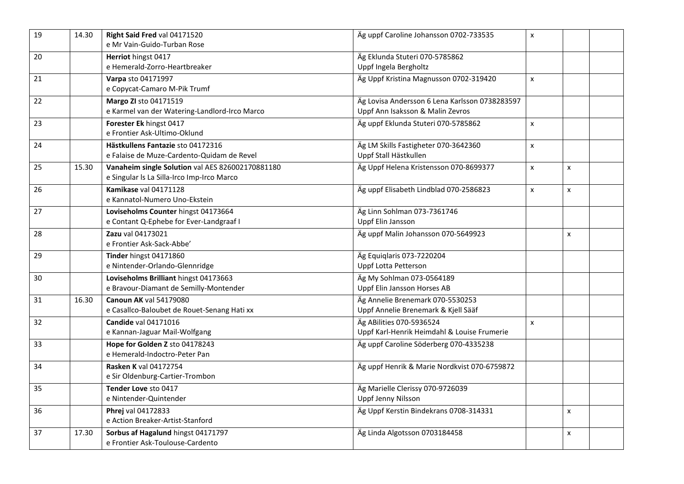| $\overline{19}$ | 14.30 | Right Said Fred val 04171520<br>e Mr Vain-Guido-Turban Rose                                    | Äg uppf Caroline Johansson 0702-733535                                             | $\pmb{\times}$ |                |  |
|-----------------|-------|------------------------------------------------------------------------------------------------|------------------------------------------------------------------------------------|----------------|----------------|--|
| 20              |       | Herriot hingst 0417<br>e Hemerald-Zorro-Heartbreaker                                           | Äg Eklunda Stuteri 070-5785862<br>Uppf Ingela Bergholtz                            |                |                |  |
| 21              |       | Varpa sto 04171997<br>e Copycat-Camaro M-Pik Trumf                                             | Äg Uppf Kristina Magnusson 0702-319420                                             | $\mathsf{x}$   |                |  |
| 22              |       | Margo ZI sto 04171519<br>e Karmel van der Watering-Landlord-Irco Marco                         | Äg Lovisa Andersson 6 Lena Karlsson 0738283597<br>Uppf Ann Isaksson & Malin Zevros |                |                |  |
| 23              |       | Forester Ek hingst 0417<br>e Frontier Ask-Ultimo-Oklund                                        | Äg uppf Eklunda Stuteri 070-5785862                                                | $\pmb{\times}$ |                |  |
| 24              |       | Hästkullens Fantazie sto 04172316<br>e Falaise de Muze-Cardento-Quidam de Revel                | Äg LM Skills Fastigheter 070-3642360<br>Uppf Stall Hästkullen                      | $\mathsf{x}$   |                |  |
| 25              | 15.30 | Vanaheim single Solution val AES 826002170881180<br>e Singular Is La Silla-Irco Imp-Irco Marco | Äg Uppf Helena Kristensson 070-8699377                                             | $\mathsf{x}$   | $\mathsf{x}$   |  |
| 26              |       | Kamikase val 04171128<br>e Kannatol-Numero Uno-Ekstein                                         | Äg uppf Elisabeth Lindblad 070-2586823                                             | $\mathsf{x}$   | $\mathsf{x}$   |  |
| 27              |       | Loviseholms Counter hingst 04173664<br>e Contant Q-Ephebe for Ever-Landgraaf I                 | Äg Linn Sohlman 073-7361746<br>Uppf Elin Jansson                                   |                |                |  |
| 28              |       | Zazu val 04173021<br>e Frontier Ask-Sack-Abbe'                                                 | Äg uppf Malin Johansson 070-5649923                                                |                | X              |  |
| 29              |       | Tinder hingst 04171860<br>e Nintender-Orlando-Glennridge                                       | Äg Equiglaris 073-7220204<br><b>Uppf Lotta Petterson</b>                           |                |                |  |
| 30              |       | Loviseholms Brilliant hingst 04173663<br>e Bravour-Diamant de Semilly-Montender                | Äg My Sohlman 073-0564189<br>Uppf Elin Jansson Horses AB                           |                |                |  |
| 31              | 16.30 | <b>Canoun AK val 54179080</b><br>e Casallco-Baloubet de Rouet-Senang Hati xx                   | Äg Annelie Brenemark 070-5530253<br>Uppf Annelie Brenemark & Kjell Sääf            |                |                |  |
| 32              |       | Candide val 04171016<br>e Kannan-Jaguar Mail-Wolfgang                                          | Äg ABilities 070-5936524<br>Uppf Karl-Henrik Heimdahl & Louise Frumerie            | $\pmb{\times}$ |                |  |
| 33              |       | Hope for Golden Z sto 04178243<br>e Hemerald-Indoctro-Peter Pan                                | Äg uppf Caroline Söderberg 070-4335238                                             |                |                |  |
| 34              |       | Rasken K val 04172754<br>e Sir Oldenburg-Cartier-Trombon                                       | Äg uppf Henrik & Marie Nordkvist 070-6759872                                       |                |                |  |
| 35              |       | Tender Love sto 0417<br>e Nintender-Quintender                                                 | Äg Marielle Clerissy 070-9726039<br>Uppf Jenny Nilsson                             |                |                |  |
| 36              |       | Phrej val 04172833<br>e Action Breaker-Artist-Stanford                                         | Äg Uppf Kerstin Bindekrans 0708-314331                                             |                | X              |  |
| 37              | 17.30 | Sorbus af Hagalund hingst 04171797<br>e Frontier Ask-Toulouse-Cardento                         | Äg Linda Algotsson 0703184458                                                      |                | $\pmb{\times}$ |  |